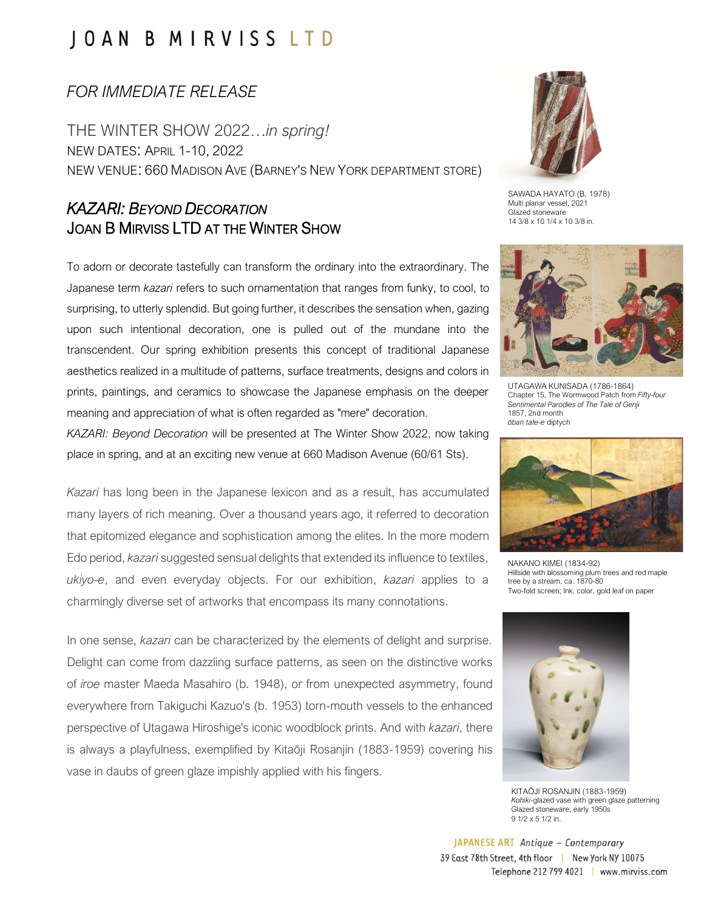## JOAN B MIRVISS LTD

### *FOR IMMEDIATE RELEASE*

THE WINTER SHOW 2022…*in spring!* NEW DATES: APRIL 1-10, 2022 NEW VENUE: 660 MADISON AVE (BARNEY'S NEW YORK DEPARTMENT STORE)

### *KAZARI: BEYOND DECORATION* JOAN B MIRVISS LTD AT THE WINTER SHOW

To adorn or decorate tastefully can transform the ordinary into the extraordinary. The Japanese term *kazari* refers to such ornamentation that ranges from funky, to cool, to surprising, to utterly splendid. But going further, it describes the sensation when, gazing upon such intentional decoration, one is pulled out of the mundane into the transcendent. Our spring exhibition presents this concept of traditional Japanese aesthetics realized in a multitude of patterns, surface treatments, designs and colors in prints, paintings, and ceramics to showcase the Japanese emphasis on the deeper meaning and appreciation of what is often regarded as "mere" decoration.

*KAZARI: Beyond Decoration* will be presented at The Winter Show 2022, now taking place in spring, and at an exciting new venue at 660 Madison Avenue (60/61 Sts).

*Kazari* has long been in the Japanese lexicon and as a result, has accumulated many layers of rich meaning. Over a thousand years ago, it referred to decoration that epitomized elegance and sophistication among the elites. In the more modern Edo period, *kazari* suggested sensual delights that extended its influence to textiles, *ukiyo-e*, and even everyday objects. For our exhibition, *kazari* applies to a charmingly diverse set of artworks that encompass its many connotations.

In one sense, *kazari* can be characterized by the elements of delight and surprise. Delight can come from dazzling surface patterns, as seen on the distinctive works of *iroe* master Maeda Masahiro (b. 1948), or from unexpected asymmetry, found everywhere from Takiguchi Kazuo's (b. 1953) torn-mouth vessels to the enhanced perspective of Utagawa Hiroshige's iconic woodblock prints. And with *kazari*, there is always a playfulness, exemplified by Kitaōji Rosanjin (1883-1959) covering his vase in daubs of green glaze impishly applied with his fingers.



SAWADA HAYATO (B. 1978) Multi planar vessel, 2021 Glazed stoneware 14 3/8 x 10 1/4 x 10 3/8 in.



UTAGAWA KUNISADA (1786-1864) Chapter 15, The Wormwood Patch from *Fifty-four Sentimental Parodies of The Tale of Genji* 1857, 2nd month *ōban tate-e* diptych



NAKANO KIMEI (1834-92) Hillside with blossoming plum trees and red maple tree by a stream, ca. 1870-80 Two-fold screen; Ink, color, gold leaf on paper



KITAŌJI ROSANJIN (1883-1959) *Kohiki*-glazed vase with green glaze patterning Glazed stoneware, early 1950s 9 1/2 x 5 1/2 in.

JAPANESE ART Antique - Contemporary 39 East 78th Street, 4th floor | New York NY 10075 Telephone 212 799 4021 | www.mirviss.com